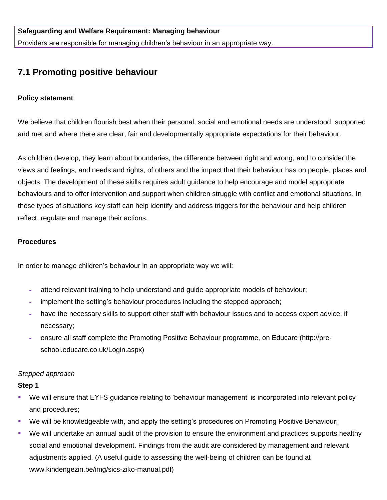Providers are responsible for managing children's behaviour in an appropriate way.

# **7.1 Promoting positive behaviour**

## **Policy statement**

We believe that children flourish best when their personal, social and emotional needs are understood, supported and met and where there are clear, fair and developmentally appropriate expectations for their behaviour.

As children develop, they learn about boundaries, the difference between right and wrong, and to consider the views and feelings, and needs and rights, of others and the impact that their behaviour has on people, places and objects. The development of these skills requires adult guidance to help encourage and model appropriate behaviours and to offer intervention and support when children struggle with conflict and emotional situations. In these types of situations key staff can help identify and address triggers for the behaviour and help children reflect, regulate and manage their actions.

## **Procedures**

In order to manage children's behaviour in an appropriate way we will:

- **-** attend relevant training to help understand and guide appropriate models of behaviour;
- **-** implement the setting's behaviour procedures including the stepped approach;
- **-** have the necessary skills to support other staff with behaviour issues and to access expert advice, if necessary;
- **-** ensure all staff complete the Promoting Positive Behaviour programme, on Educare (http://preschool.educare.co.uk/Login.aspx)

# *Stepped approach*

#### **Step 1**

- We will ensure that EYFS guidance relating to 'behaviour management' is incorporated into relevant policy and procedures;
- We will be knowledgeable with, and apply the setting's procedures on Promoting Positive Behaviour;
- We will undertake an annual audit of the provision to ensure the environment and practices supports healthy social and emotional development. Findings from the audit are considered by management and relevant adjustments applied. (A useful guide to assessing the well-being of children can be found at [www.kindengezin.be/img/sics-ziko-manual.pdf\)](http://www.kindengezin.be/img/sics-ziko-manual.pdf)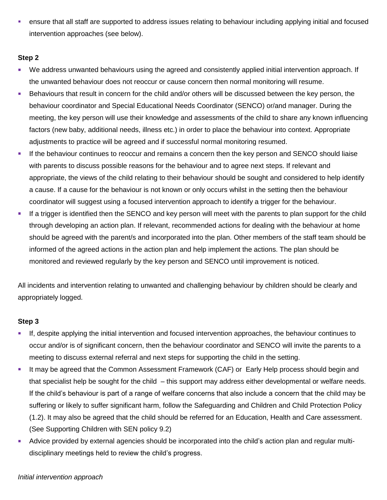ensure that all staff are supported to address issues relating to behaviour including applying initial and focused intervention approaches (see below).

# **Step 2**

- We address unwanted behaviours using the agreed and consistently applied initial intervention approach. If the unwanted behaviour does not reoccur or cause concern then normal monitoring will resume.
- Behaviours that result in concern for the child and/or others will be discussed between the key person, the behaviour coordinator and Special Educational Needs Coordinator (SENCO) or/and manager. During the meeting, the key person will use their knowledge and assessments of the child to share any known influencing factors (new baby, additional needs, illness etc.) in order to place the behaviour into context. Appropriate adjustments to practice will be agreed and if successful normal monitoring resumed.
- If the behaviour continues to reoccur and remains a concern then the key person and SENCO should liaise with parents to discuss possible reasons for the behaviour and to agree next steps. If relevant and appropriate, the views of the child relating to their behaviour should be sought and considered to help identify a cause. If a cause for the behaviour is not known or only occurs whilst in the setting then the behaviour coordinator will suggest using a focused intervention approach to identify a trigger for the behaviour.
- If a trigger is identified then the SENCO and key person will meet with the parents to plan support for the child through developing an action plan. If relevant, recommended actions for dealing with the behaviour at home should be agreed with the parent/s and incorporated into the plan. Other members of the staff team should be informed of the agreed actions in the action plan and help implement the actions. The plan should be monitored and reviewed regularly by the key person and SENCO until improvement is noticed.

All incidents and intervention relating to unwanted and challenging behaviour by children should be clearly and appropriately logged.

# **Step 3**

- If, despite applying the initial intervention and focused intervention approaches, the behaviour continues to occur and/or is of significant concern, then the behaviour coordinator and SENCO will invite the parents to a meeting to discuss external referral and next steps for supporting the child in the setting.
- It may be agreed that the Common Assessment Framework (CAF) or Early Help process should begin and that specialist help be sought for the child – this support may address either developmental or welfare needs. If the child's behaviour is part of a range of welfare concerns that also include a concern that the child may be suffering or likely to suffer significant harm, follow the Safeguarding and Children and Child Protection Policy (1.2). It may also be agreed that the child should be referred for an Education, Health and Care assessment. (See Supporting Children with SEN policy 9.2)
- Advice provided by external agencies should be incorporated into the child's action plan and regular multidisciplinary meetings held to review the child's progress.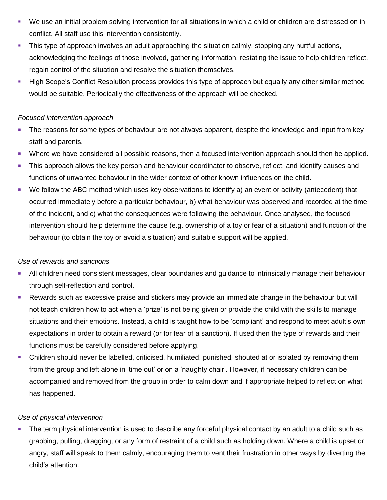- We use an initial problem solving intervention for all situations in which a child or children are distressed on in conflict. All staff use this intervention consistently.
- This type of approach involves an adult approaching the situation calmly, stopping any hurtful actions, acknowledging the feelings of those involved, gathering information, restating the issue to help children reflect, regain control of the situation and resolve the situation themselves.
- **High Scope's Conflict Resolution process provides this type of approach but equally any other similar method** would be suitable. Periodically the effectiveness of the approach will be checked.

#### *Focused intervention approach*

- The reasons for some types of behaviour are not always apparent, despite the knowledge and input from key staff and parents.
- Where we have considered all possible reasons, then a focused intervention approach should then be applied.
- This approach allows the key person and behaviour coordinator to observe, reflect, and identify causes and functions of unwanted behaviour in the wider context of other known influences on the child.
- We follow the ABC method which uses key observations to identify a) an event or activity (antecedent) that occurred immediately before a particular behaviour, b) what behaviour was observed and recorded at the time of the incident, and c) what the consequences were following the behaviour. Once analysed, the focused intervention should help determine the cause (e.g. ownership of a toy or fear of a situation) and function of the behaviour (to obtain the toy or avoid a situation) and suitable support will be applied.

# *Use of rewards and sanctions*

- All children need consistent messages, clear boundaries and guidance to intrinsically manage their behaviour through self-reflection and control.
- Rewards such as excessive praise and stickers may provide an immediate change in the behaviour but will not teach children how to act when a 'prize' is not being given or provide the child with the skills to manage situations and their emotions. Instead, a child is taught how to be 'compliant' and respond to meet adult's own expectations in order to obtain a reward (or for fear of a sanction). If used then the type of rewards and their functions must be carefully considered before applying.
- Children should never be labelled, criticised, humiliated, punished, shouted at or isolated by removing them from the group and left alone in 'time out' or on a 'naughty chair'. However, if necessary children can be accompanied and removed from the group in order to calm down and if appropriate helped to reflect on what has happened.

# *Use of physical intervention*

The term physical intervention is used to describe any forceful physical contact by an adult to a child such as grabbing, pulling, dragging, or any form of restraint of a child such as holding down. Where a child is upset or angry, staff will speak to them calmly, encouraging them to vent their frustration in other ways by diverting the child's attention.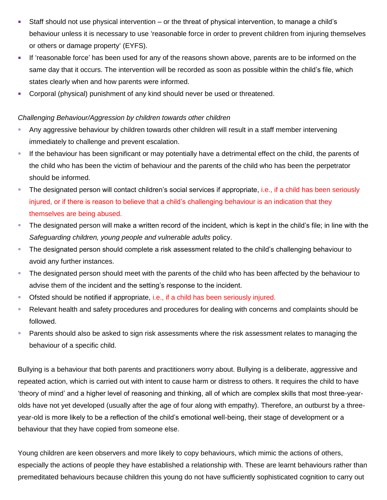- Staff should not use physical intervention or the threat of physical intervention, to manage a child's behaviour unless it is necessary to use 'reasonable force in order to prevent children from injuring themselves or others or damage property' (EYFS).
- If 'reasonable force' has been used for any of the reasons shown above, parents are to be informed on the same day that it occurs. The intervention will be recorded as soon as possible within the child's file, which states clearly when and how parents were informed.
- **Corporal (physical) punishment of any kind should never be used or threatened.**

## *Challenging Behaviour/Aggression by children towards other children*

- Any aggressive behaviour by children towards other children will result in a staff member intervening immediately to challenge and prevent escalation.
- If the behaviour has been significant or may potentially have a detrimental effect on the child, the parents of the child who has been the victim of behaviour and the parents of the child who has been the perpetrator should be informed.
- The designated person will contact children's social services if appropriate, i.e., if a child has been seriously injured, or if there is reason to believe that a child's challenging behaviour is an indication that they themselves are being abused.
- The designated person will make a written record of the incident, which is kept in the child's file; in line with the *Safeguarding children, young people and vulnerable adults* policy.
- **The designated person should complete a risk assessment related to the child's challenging behaviour to** avoid any further instances.
- The designated person should meet with the parents of the child who has been affected by the behaviour to advise them of the incident and the setting's response to the incident.
- Ofsted should be notified if appropriate, i.e., if a child has been seriously injured.
- Relevant health and safety procedures and procedures for dealing with concerns and complaints should be followed.
- **Parents should also be asked to sign risk assessments where the risk assessment relates to managing the** behaviour of a specific child.

Bullying is a behaviour that both parents and practitioners worry about. Bullying is a deliberate, aggressive and repeated action, which is carried out with intent to cause harm or distress to others. It requires the child to have 'theory of mind' and a higher level of reasoning and thinking, all of which are complex skills that most three-yearolds have not yet developed (usually after the age of four along with empathy). Therefore, an outburst by a threeyear-old is more likely to be a reflection of the child's emotional well-being, their stage of development or a behaviour that they have copied from someone else.

Young children are keen observers and more likely to copy behaviours, which mimic the actions of others, especially the actions of people they have established a relationship with. These are learnt behaviours rather than premeditated behaviours because children this young do not have sufficiently sophisticated cognition to carry out